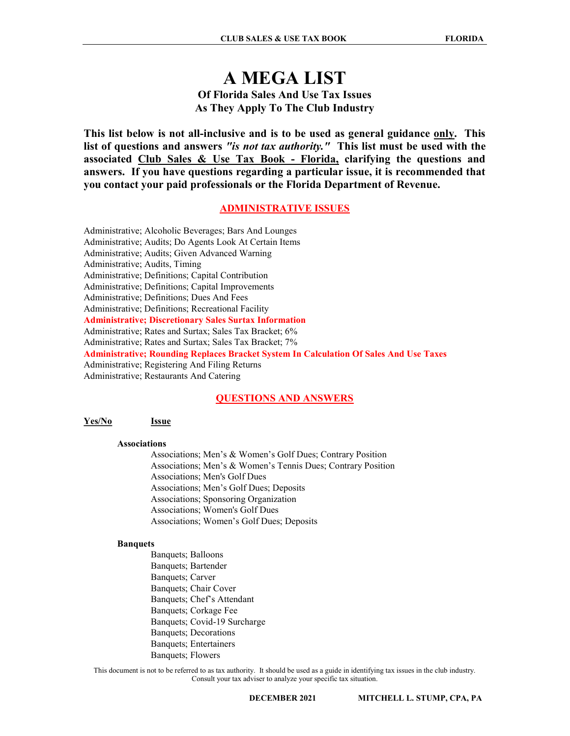# A MEGA LIST Of Florida Sales And Use Tax Issues As They Apply To The Club Industry

This list below is not all-inclusive and is to be used as general guidance only. This list of questions and answers "is not tax authority." This list must be used with the associated Club Sales & Use Tax Book - Florida, clarifying the questions and answers. If you have questions regarding a particular issue, it is recommended that you contact your paid professionals or the Florida Department of Revenue.

# ADMINISTRATIVE ISSUES

Administrative; Alcoholic Beverages; Bars And Lounges Administrative; Audits; Do Agents Look At Certain Items Administrative; Audits; Given Advanced Warning Administrative; Audits, Timing Administrative; Definitions; Capital Contribution Administrative; Definitions; Capital Improvements Administrative; Definitions; Dues And Fees Administrative; Definitions; Recreational Facility Administrative; Discretionary Sales Surtax Information Administrative; Rates and Surtax; Sales Tax Bracket; 6% Administrative; Rates and Surtax; Sales Tax Bracket; 7% Administrative; Rounding Replaces Bracket System In Calculation Of Sales And Use Taxes Administrative; Registering And Filing Returns Administrative; Restaurants And Catering

# QUESTIONS AND ANSWERS

### Yes/No Issue

### Associations

 Associations; Men's & Women's Golf Dues; Contrary Position Associations; Men's & Women's Tennis Dues; Contrary Position Associations; Men's Golf Dues Associations; Men's Golf Dues; Deposits Associations; Sponsoring Organization Associations; Women's Golf Dues Associations; Women's Golf Dues; Deposits

### Banquets

 Banquets; Balloons Banquets; Bartender Banquets; Carver Banquets; Chair Cover Banquets; Chef's Attendant Banquets; Corkage Fee Banquets; Covid-19 Surcharge Banquets; Decorations Banquets; Entertainers Banquets; Flowers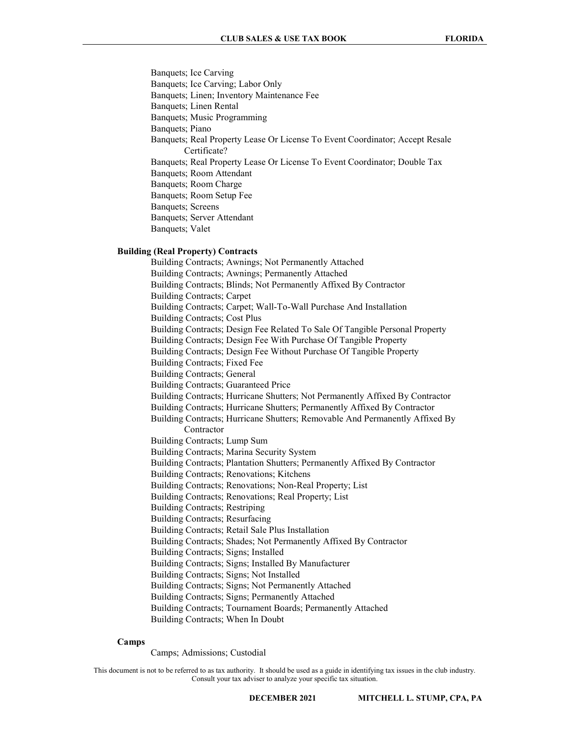Banquets; Ice Carving Banquets; Ice Carving; Labor Only Banquets; Linen; Inventory Maintenance Fee Banquets; Linen Rental Banquets; Music Programming Banquets; Piano Banquets; Real Property Lease Or License To Event Coordinator; Accept Resale Certificate? Banquets; Real Property Lease Or License To Event Coordinator; Double Tax Banquets; Room Attendant Banquets; Room Charge Banquets; Room Setup Fee Banquets; Screens Banquets; Server Attendant Banquets; Valet

# Building (Real Property) Contracts

 Building Contracts; Awnings; Not Permanently Attached Building Contracts; Awnings; Permanently Attached Building Contracts; Blinds; Not Permanently Affixed By Contractor Building Contracts; Carpet Building Contracts; Carpet; Wall-To-Wall Purchase And Installation Building Contracts; Cost Plus Building Contracts; Design Fee Related To Sale Of Tangible Personal Property Building Contracts; Design Fee With Purchase Of Tangible Property Building Contracts; Design Fee Without Purchase Of Tangible Property Building Contracts; Fixed Fee Building Contracts; General Building Contracts; Guaranteed Price Building Contracts; Hurricane Shutters; Not Permanently Affixed By Contractor Building Contracts; Hurricane Shutters; Permanently Affixed By Contractor Building Contracts; Hurricane Shutters; Removable And Permanently Affixed By Contractor Building Contracts; Lump Sum Building Contracts; Marina Security System Building Contracts; Plantation Shutters; Permanently Affixed By Contractor Building Contracts; Renovations; Kitchens Building Contracts; Renovations; Non-Real Property; List Building Contracts; Renovations; Real Property; List Building Contracts; Restriping Building Contracts; Resurfacing Building Contracts; Retail Sale Plus Installation Building Contracts; Shades; Not Permanently Affixed By Contractor Building Contracts; Signs; Installed Building Contracts; Signs; Installed By Manufacturer Building Contracts; Signs; Not Installed Building Contracts; Signs; Not Permanently Attached Building Contracts; Signs; Permanently Attached Building Contracts; Tournament Boards; Permanently Attached Building Contracts; When In Doubt

### Camps

Camps; Admissions; Custodial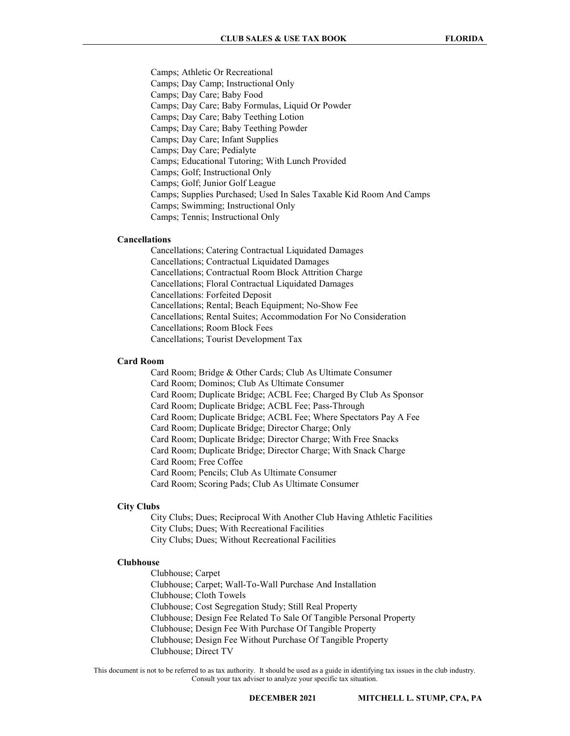Camps; Athletic Or Recreational Camps; Day Camp; Instructional Only Camps; Day Care; Baby Food Camps; Day Care; Baby Formulas, Liquid Or Powder Camps; Day Care; Baby Teething Lotion Camps; Day Care; Baby Teething Powder Camps; Day Care; Infant Supplies Camps; Day Care; Pedialyte Camps; Educational Tutoring; With Lunch Provided Camps; Golf; Instructional Only Camps; Golf; Junior Golf League Camps; Supplies Purchased; Used In Sales Taxable Kid Room And Camps Camps; Swimming; Instructional Only Camps; Tennis; Instructional Only

# Cancellations

 Cancellations; Catering Contractual Liquidated Damages Cancellations; Contractual Liquidated Damages Cancellations; Contractual Room Block Attrition Charge Cancellations; Floral Contractual Liquidated Damages Cancellations: Forfeited Deposit Cancellations; Rental; Beach Equipment; No-Show Fee Cancellations; Rental Suites; Accommodation For No Consideration Cancellations; Room Block Fees Cancellations; Tourist Development Tax

### Card Room

 Card Room; Bridge & Other Cards; Club As Ultimate Consumer Card Room; Dominos; Club As Ultimate Consumer Card Room; Duplicate Bridge; ACBL Fee; Charged By Club As Sponsor Card Room; Duplicate Bridge; ACBL Fee; Pass-Through Card Room; Duplicate Bridge; ACBL Fee; Where Spectators Pay A Fee Card Room; Duplicate Bridge; Director Charge; Only Card Room; Duplicate Bridge; Director Charge; With Free Snacks Card Room; Duplicate Bridge; Director Charge; With Snack Charge Card Room; Free Coffee Card Room; Pencils; Club As Ultimate Consumer Card Room; Scoring Pads; Club As Ultimate Consumer

# City Clubs

 City Clubs; Dues; Reciprocal With Another Club Having Athletic Facilities City Clubs; Dues; With Recreational Facilities City Clubs; Dues; Without Recreational Facilities

#### Clubhouse

 Clubhouse; Carpet Clubhouse; Carpet; Wall-To-Wall Purchase And Installation Clubhouse; Cloth Towels Clubhouse; Cost Segregation Study; Still Real Property Clubhouse; Design Fee Related To Sale Of Tangible Personal Property Clubhouse; Design Fee With Purchase Of Tangible Property Clubhouse; Design Fee Without Purchase Of Tangible Property Clubhouse; Direct TV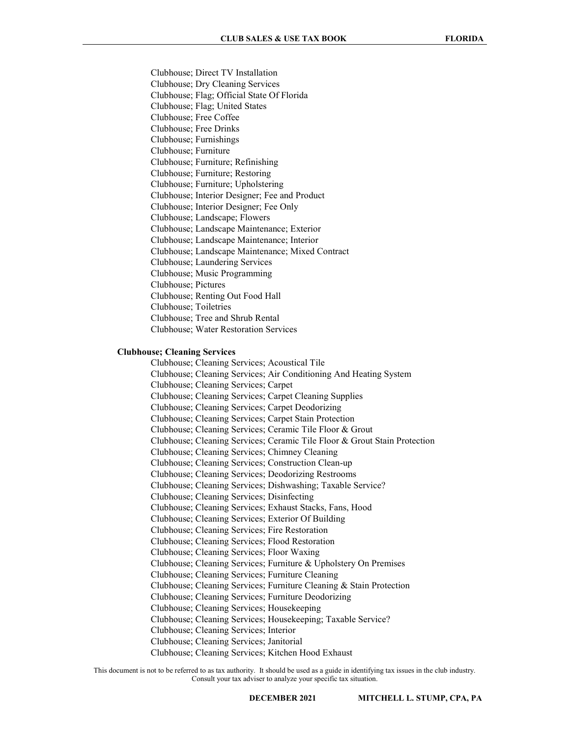Clubhouse; Direct TV Installation Clubhouse; Dry Cleaning Services Clubhouse; Flag; Official State Of Florida Clubhouse; Flag; United States Clubhouse; Free Coffee Clubhouse; Free Drinks Clubhouse; Furnishings Clubhouse; Furniture Clubhouse; Furniture; Refinishing Clubhouse; Furniture; Restoring Clubhouse; Furniture; Upholstering Clubhouse; Interior Designer; Fee and Product Clubhouse; Interior Designer; Fee Only Clubhouse; Landscape; Flowers Clubhouse; Landscape Maintenance; Exterior Clubhouse; Landscape Maintenance; Interior Clubhouse; Landscape Maintenance; Mixed Contract Clubhouse; Laundering Services Clubhouse; Music Programming Clubhouse; Pictures Clubhouse; Renting Out Food Hall Clubhouse; Toiletries Clubhouse; Tree and Shrub Rental Clubhouse; Water Restoration Services

# Clubhouse; Cleaning Services

 Clubhouse; Cleaning Services; Acoustical Tile Clubhouse; Cleaning Services; Air Conditioning And Heating System Clubhouse; Cleaning Services; Carpet Clubhouse; Cleaning Services; Carpet Cleaning Supplies Clubhouse; Cleaning Services; Carpet Deodorizing Clubhouse; Cleaning Services; Carpet Stain Protection Clubhouse; Cleaning Services; Ceramic Tile Floor & Grout Clubhouse; Cleaning Services; Ceramic Tile Floor & Grout Stain Protection Clubhouse; Cleaning Services; Chimney Cleaning Clubhouse; Cleaning Services; Construction Clean-up Clubhouse; Cleaning Services; Deodorizing Restrooms Clubhouse; Cleaning Services; Dishwashing; Taxable Service? Clubhouse; Cleaning Services; Disinfecting Clubhouse; Cleaning Services; Exhaust Stacks, Fans, Hood Clubhouse; Cleaning Services; Exterior Of Building Clubhouse; Cleaning Services; Fire Restoration Clubhouse; Cleaning Services; Flood Restoration Clubhouse; Cleaning Services; Floor Waxing Clubhouse; Cleaning Services; Furniture & Upholstery On Premises Clubhouse; Cleaning Services; Furniture Cleaning Clubhouse; Cleaning Services; Furniture Cleaning & Stain Protection Clubhouse; Cleaning Services; Furniture Deodorizing Clubhouse; Cleaning Services; Housekeeping Clubhouse; Cleaning Services; Housekeeping; Taxable Service? Clubhouse; Cleaning Services; Interior Clubhouse; Cleaning Services; Janitorial Clubhouse; Cleaning Services; Kitchen Hood Exhaust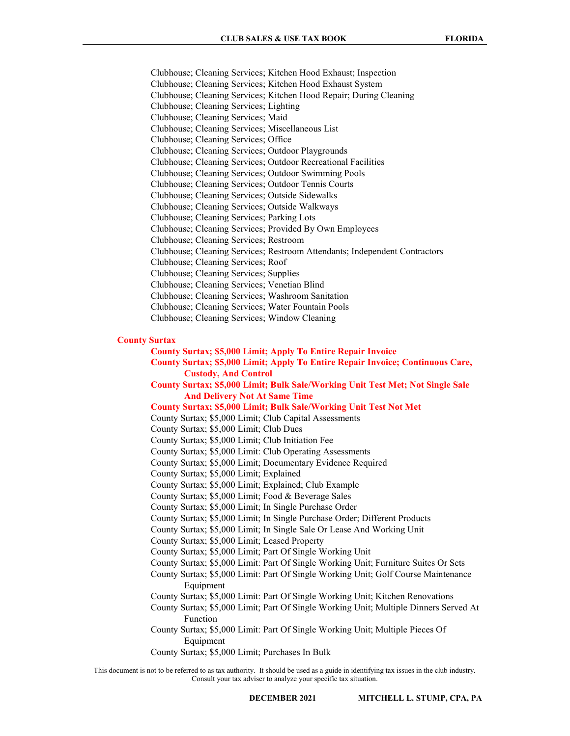Clubhouse; Cleaning Services; Kitchen Hood Exhaust; Inspection Clubhouse; Cleaning Services; Kitchen Hood Exhaust System Clubhouse; Cleaning Services; Kitchen Hood Repair; During Cleaning Clubhouse; Cleaning Services; Lighting Clubhouse; Cleaning Services; Maid Clubhouse; Cleaning Services; Miscellaneous List Clubhouse; Cleaning Services; Office Clubhouse; Cleaning Services; Outdoor Playgrounds Clubhouse; Cleaning Services; Outdoor Recreational Facilities Clubhouse; Cleaning Services; Outdoor Swimming Pools Clubhouse; Cleaning Services; Outdoor Tennis Courts Clubhouse; Cleaning Services; Outside Sidewalks Clubhouse; Cleaning Services; Outside Walkways Clubhouse; Cleaning Services; Parking Lots Clubhouse; Cleaning Services; Provided By Own Employees Clubhouse; Cleaning Services; Restroom Clubhouse; Cleaning Services; Restroom Attendants; Independent Contractors Clubhouse; Cleaning Services; Roof Clubhouse; Cleaning Services; Supplies Clubhouse; Cleaning Services; Venetian Blind Clubhouse; Cleaning Services; Washroom Sanitation Clubhouse; Cleaning Services; Water Fountain Pools Clubhouse; Cleaning Services; Window Cleaning

# County Surtax

- County Surtax; \$5,000 Limit; Apply To Entire Repair Invoice
- County Surtax; \$5,000 Limit; Apply To Entire Repair Invoice; Continuous Care, Custody, And Control

 County Surtax; \$5,000 Limit; Bulk Sale/Working Unit Test Met; Not Single Sale And Delivery Not At Same Time

### County Surtax; \$5,000 Limit; Bulk Sale/Working Unit Test Not Met

County Surtax; \$5,000 Limit; Club Capital Assessments

County Surtax; \$5,000 Limit; Club Dues

- County Surtax; \$5,000 Limit; Club Initiation Fee
- County Surtax; \$5,000 Limit: Club Operating Assessments
- County Surtax; \$5,000 Limit; Documentary Evidence Required
- County Surtax; \$5,000 Limit; Explained
- County Surtax; \$5,000 Limit; Explained; Club Example
- County Surtax; \$5,000 Limit; Food & Beverage Sales
- County Surtax; \$5,000 Limit; In Single Purchase Order
- County Surtax; \$5,000 Limit; In Single Purchase Order; Different Products
- County Surtax; \$5,000 Limit; In Single Sale Or Lease And Working Unit
- County Surtax; \$5,000 Limit; Leased Property
- County Surtax; \$5,000 Limit; Part Of Single Working Unit
- County Surtax; \$5,000 Limit: Part Of Single Working Unit; Furniture Suites Or Sets
- County Surtax; \$5,000 Limit: Part Of Single Working Unit; Golf Course Maintenance Equipment
- County Surtax; \$5,000 Limit: Part Of Single Working Unit; Kitchen Renovations
- County Surtax; \$5,000 Limit; Part Of Single Working Unit; Multiple Dinners Served At Function
- County Surtax; \$5,000 Limit: Part Of Single Working Unit; Multiple Pieces Of Equipment
- County Surtax; \$5,000 Limit; Purchases In Bulk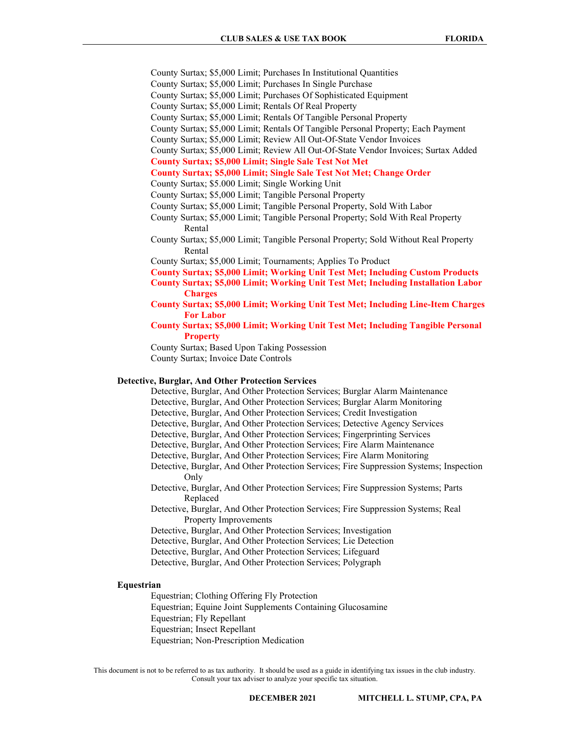- County Surtax; \$5,000 Limit; Purchases In Institutional Quantities
- County Surtax; \$5,000 Limit; Purchases In Single Purchase
- County Surtax; \$5,000 Limit; Purchases Of Sophisticated Equipment
- County Surtax; \$5,000 Limit; Rentals Of Real Property
- County Surtax; \$5,000 Limit; Rentals Of Tangible Personal Property
- County Surtax; \$5,000 Limit; Rentals Of Tangible Personal Property; Each Payment
- County Surtax; \$5,000 Limit; Review All Out-Of-State Vendor Invoices
- County Surtax; \$5,000 Limit; Review All Out-Of-State Vendor Invoices; Surtax Added
- County Surtax; \$5,000 Limit; Single Sale Test Not Met

# County Surtax; \$5,000 Limit; Single Sale Test Not Met; Change Order

- County Surtax; \$5.000 Limit; Single Working Unit
- County Surtax; \$5,000 Limit; Tangible Personal Property
- County Surtax; \$5,000 Limit; Tangible Personal Property, Sold With Labor
- County Surtax; \$5,000 Limit; Tangible Personal Property; Sold With Real Property Rental
- County Surtax; \$5,000 Limit; Tangible Personal Property; Sold Without Real Property Rental
- County Surtax; \$5,000 Limit; Tournaments; Applies To Product
- County Surtax; \$5,000 Limit; Working Unit Test Met; Including Custom Products
- County Surtax; \$5,000 Limit; Working Unit Test Met; Including Installation Labor Charges
- County Surtax; \$5,000 Limit; Working Unit Test Met; Including Line-Item Charges For Labor
- County Surtax; \$5,000 Limit; Working Unit Test Met; Including Tangible Personal **Property**

 County Surtax; Based Upon Taking Possession County Surtax; Invoice Date Controls

#### Detective, Burglar, And Other Protection Services

 Detective, Burglar, And Other Protection Services; Burglar Alarm Maintenance Detective, Burglar, And Other Protection Services; Burglar Alarm Monitoring Detective, Burglar, And Other Protection Services; Credit Investigation Detective, Burglar, And Other Protection Services; Detective Agency Services Detective, Burglar, And Other Protection Services; Fingerprinting Services Detective, Burglar, And Other Protection Services; Fire Alarm Maintenance Detective, Burglar, And Other Protection Services; Fire Alarm Monitoring Detective, Burglar, And Other Protection Services; Fire Suppression Systems; Inspection Only Detective, Burglar, And Other Protection Services; Fire Suppression Systems; Parts Replaced Detective, Burglar, And Other Protection Services; Fire Suppression Systems; Real Property Improvements Detective, Burglar, And Other Protection Services; Investigation Detective, Burglar, And Other Protection Services; Lie Detection Detective, Burglar, And Other Protection Services; Lifeguard Detective, Burglar, And Other Protection Services; Polygraph

# Equestrian

 Equestrian; Clothing Offering Fly Protection Equestrian; Equine Joint Supplements Containing Glucosamine Equestrian; Fly Repellant Equestrian; Insect Repellant Equestrian; Non-Prescription Medication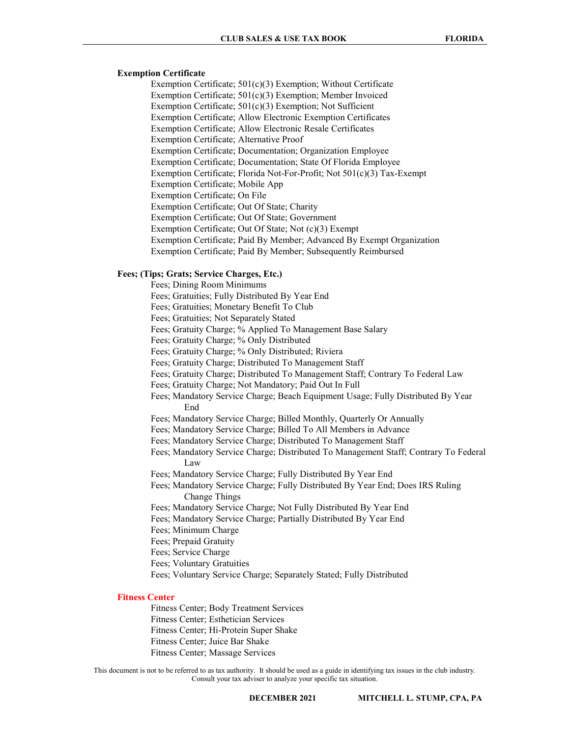# Exemption Certificate

 Exemption Certificate; 501(c)(3) Exemption; Without Certificate Exemption Certificate; 501(c)(3) Exemption; Member Invoiced Exemption Certificate; 501(c)(3) Exemption; Not Sufficient Exemption Certificate; Allow Electronic Exemption Certificates Exemption Certificate; Allow Electronic Resale Certificates Exemption Certificate; Alternative Proof Exemption Certificate; Documentation; Organization Employee Exemption Certificate; Documentation; State Of Florida Employee Exemption Certificate; Florida Not-For-Profit; Not 501(c)(3) Tax-Exempt Exemption Certificate; Mobile App Exemption Certificate; On File Exemption Certificate; Out Of State; Charity Exemption Certificate; Out Of State; Government Exemption Certificate; Out Of State; Not (c)(3) Exempt Exemption Certificate; Paid By Member; Advanced By Exempt Organization Exemption Certificate; Paid By Member; Subsequently Reimbursed

### Fees; (Tips; Grats; Service Charges, Etc.)

 Fees; Dining Room Minimums Fees; Gratuities; Fully Distributed By Year End Fees; Gratuities; Monetary Benefit To Club Fees; Gratuities; Not Separately Stated Fees; Gratuity Charge; % Applied To Management Base Salary Fees; Gratuity Charge; % Only Distributed Fees; Gratuity Charge; % Only Distributed; Riviera Fees; Gratuity Charge; Distributed To Management Staff Fees; Gratuity Charge; Distributed To Management Staff; Contrary To Federal Law Fees; Gratuity Charge; Not Mandatory; Paid Out In Full Fees; Mandatory Service Charge; Beach Equipment Usage; Fully Distributed By Year End Fees; Mandatory Service Charge; Billed Monthly, Quarterly Or Annually Fees; Mandatory Service Charge; Billed To All Members in Advance Fees; Mandatory Service Charge; Distributed To Management Staff Fees; Mandatory Service Charge; Distributed To Management Staff; Contrary To Federal Law Fees; Mandatory Service Charge; Fully Distributed By Year End Fees; Mandatory Service Charge; Fully Distributed By Year End; Does IRS Ruling Change Things Fees; Mandatory Service Charge; Not Fully Distributed By Year End Fees; Mandatory Service Charge; Partially Distributed By Year End Fees; Minimum Charge Fees; Prepaid Gratuity Fees; Service Charge Fees; Voluntary Gratuities Fees; Voluntary Service Charge; Separately Stated; Fully Distributed

# Fitness Center

 Fitness Center; Body Treatment Services Fitness Center; Esthetician Services Fitness Center; Hi-Protein Super Shake Fitness Center; Juice Bar Shake Fitness Center; Massage Services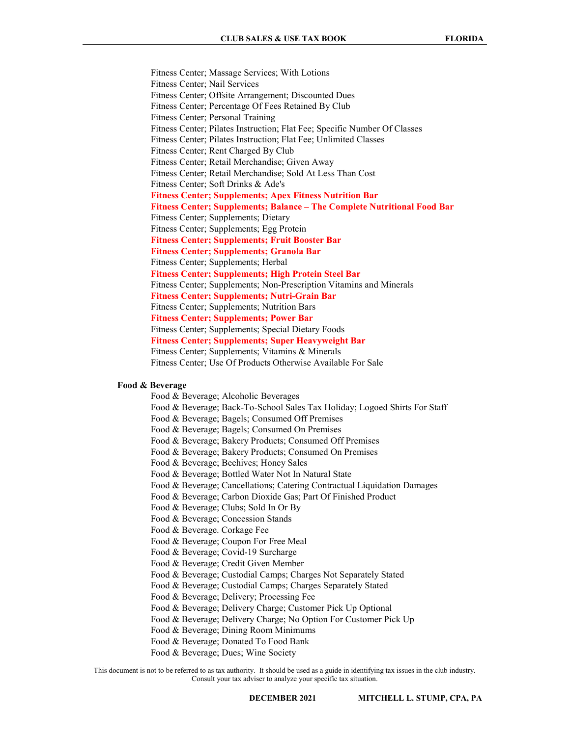Fitness Center; Massage Services; With Lotions Fitness Center; Nail Services Fitness Center; Offsite Arrangement; Discounted Dues Fitness Center; Percentage Of Fees Retained By Club Fitness Center; Personal Training Fitness Center; Pilates Instruction; Flat Fee; Specific Number Of Classes Fitness Center; Pilates Instruction; Flat Fee; Unlimited Classes Fitness Center; Rent Charged By Club Fitness Center; Retail Merchandise; Given Away Fitness Center; Retail Merchandise; Sold At Less Than Cost Fitness Center; Soft Drinks & Ade's Fitness Center; Supplements; Apex Fitness Nutrition Bar Fitness Center; Supplements; Balance – The Complete Nutritional Food Bar Fitness Center; Supplements; Dietary Fitness Center; Supplements; Egg Protein Fitness Center; Supplements; Fruit Booster Bar Fitness Center; Supplements; Granola Bar Fitness Center; Supplements; Herbal Fitness Center; Supplements; High Protein Steel Bar Fitness Center; Supplements; Non-Prescription Vitamins and Minerals Fitness Center; Supplements; Nutri-Grain Bar Fitness Center; Supplements; Nutrition Bars Fitness Center; Supplements; Power Bar Fitness Center; Supplements; Special Dietary Foods Fitness Center; Supplements; Super Heavyweight Bar Fitness Center; Supplements; Vitamins & Minerals Fitness Center; Use Of Products Otherwise Available For Sale

# Food & Beverage

 Food & Beverage; Alcoholic Beverages Food & Beverage; Back-To-School Sales Tax Holiday; Logoed Shirts For Staff Food & Beverage; Bagels; Consumed Off Premises Food & Beverage; Bagels; Consumed On Premises Food & Beverage; Bakery Products; Consumed Off Premises Food & Beverage; Bakery Products; Consumed On Premises Food & Beverage; Beehives; Honey Sales Food & Beverage; Bottled Water Not In Natural State Food & Beverage; Cancellations; Catering Contractual Liquidation Damages Food & Beverage; Carbon Dioxide Gas; Part Of Finished Product Food & Beverage; Clubs; Sold In Or By Food & Beverage; Concession Stands Food & Beverage. Corkage Fee Food & Beverage; Coupon For Free Meal Food & Beverage; Covid-19 Surcharge Food & Beverage; Credit Given Member Food & Beverage; Custodial Camps; Charges Not Separately Stated Food & Beverage; Custodial Camps; Charges Separately Stated Food & Beverage; Delivery; Processing Fee Food & Beverage; Delivery Charge; Customer Pick Up Optional Food & Beverage; Delivery Charge; No Option For Customer Pick Up Food & Beverage; Dining Room Minimums Food & Beverage; Donated To Food Bank

Food & Beverage; Dues; Wine Society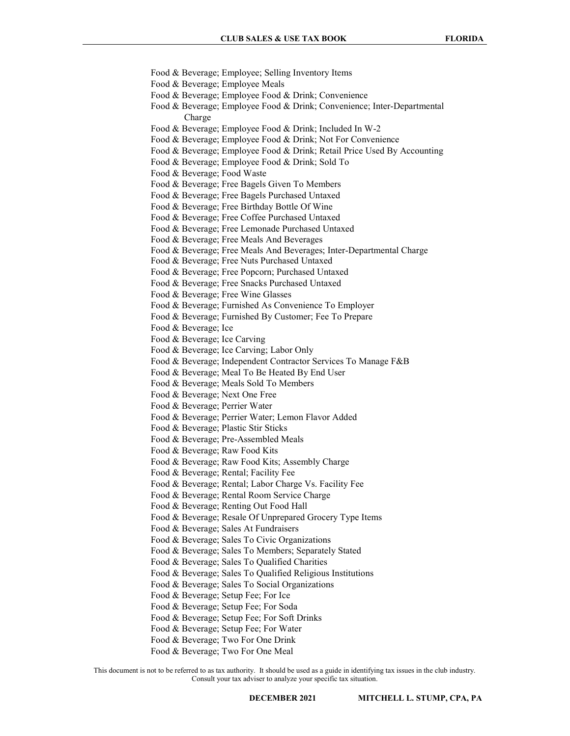Food & Beverage; Employee; Selling Inventory Items Food & Beverage; Employee Meals Food & Beverage; Employee Food & Drink; Convenience Food & Beverage; Employee Food & Drink; Convenience; Inter-Departmental Charge Food & Beverage; Employee Food & Drink; Included In W-2 Food & Beverage; Employee Food & Drink; Not For Convenience Food & Beverage; Employee Food & Drink; Retail Price Used By Accounting Food & Beverage; Employee Food & Drink; Sold To Food & Beverage; Food Waste Food & Beverage; Free Bagels Given To Members Food & Beverage; Free Bagels Purchased Untaxed Food & Beverage; Free Birthday Bottle Of Wine Food & Beverage; Free Coffee Purchased Untaxed Food & Beverage; Free Lemonade Purchased Untaxed Food & Beverage; Free Meals And Beverages Food & Beverage; Free Meals And Beverages; Inter-Departmental Charge Food & Beverage; Free Nuts Purchased Untaxed Food & Beverage; Free Popcorn; Purchased Untaxed Food & Beverage; Free Snacks Purchased Untaxed Food & Beverage; Free Wine Glasses Food & Beverage; Furnished As Convenience To Employer Food & Beverage; Furnished By Customer; Fee To Prepare Food & Beverage; Ice Food & Beverage; Ice Carving Food & Beverage; Ice Carving; Labor Only Food & Beverage; Independent Contractor Services To Manage F&B Food & Beverage; Meal To Be Heated By End User Food & Beverage; Meals Sold To Members Food & Beverage; Next One Free Food & Beverage; Perrier Water Food & Beverage; Perrier Water; Lemon Flavor Added Food & Beverage; Plastic Stir Sticks Food & Beverage; Pre-Assembled Meals Food & Beverage; Raw Food Kits Food & Beverage; Raw Food Kits; Assembly Charge Food & Beverage; Rental; Facility Fee Food & Beverage; Rental; Labor Charge Vs. Facility Fee Food & Beverage; Rental Room Service Charge Food & Beverage; Renting Out Food Hall Food & Beverage; Resale Of Unprepared Grocery Type Items Food & Beverage; Sales At Fundraisers Food & Beverage; Sales To Civic Organizations Food & Beverage; Sales To Members; Separately Stated Food & Beverage; Sales To Qualified Charities Food & Beverage; Sales To Qualified Religious Institutions Food & Beverage; Sales To Social Organizations Food & Beverage; Setup Fee; For Ice Food & Beverage; Setup Fee; For Soda Food & Beverage; Setup Fee; For Soft Drinks Food & Beverage; Setup Fee; For Water Food & Beverage; Two For One Drink

Food & Beverage; Two For One Meal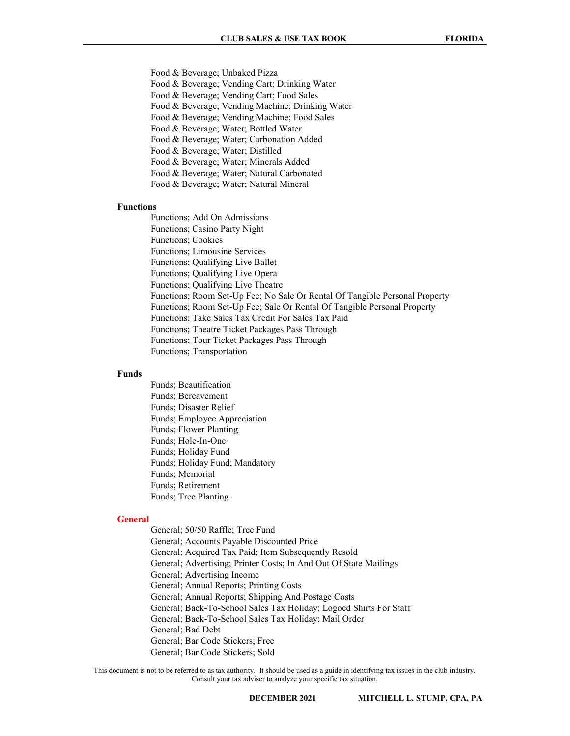Food & Beverage; Unbaked Pizza Food & Beverage; Vending Cart; Drinking Water Food & Beverage; Vending Cart; Food Sales Food & Beverage; Vending Machine; Drinking Water Food & Beverage; Vending Machine; Food Sales Food & Beverage; Water; Bottled Water Food & Beverage; Water; Carbonation Added Food & Beverage; Water; Distilled Food & Beverage; Water; Minerals Added Food & Beverage; Water; Natural Carbonated

Food & Beverage; Water; Natural Mineral

# Functions

Functions; Add On Admissions

 Functions; Casino Party Night Functions; Cookies Functions; Limousine Services Functions; Qualifying Live Ballet Functions; Qualifying Live Opera

Functions; Qualifying Live Theatre

Functions; Room Set-Up Fee; No Sale Or Rental Of Tangible Personal Property

Functions; Room Set-Up Fee; Sale Or Rental Of Tangible Personal Property

Functions; Take Sales Tax Credit For Sales Tax Paid

Functions; Theatre Ticket Packages Pass Through

Functions; Tour Ticket Packages Pass Through

Functions; Transportation

# Funds

 Funds; Beautification Funds; Bereavement Funds; Disaster Relief Funds; Employee Appreciation Funds; Flower Planting Funds; Hole-In-One Funds; Holiday Fund Funds; Holiday Fund; Mandatory Funds; Memorial Funds; Retirement Funds; Tree Planting

#### General

 General; 50/50 Raffle; Tree Fund General; Accounts Payable Discounted Price General; Acquired Tax Paid; Item Subsequently Resold General; Advertising; Printer Costs; In And Out Of State Mailings General; Advertising Income General; Annual Reports; Printing Costs General; Annual Reports; Shipping And Postage Costs General; Back-To-School Sales Tax Holiday; Logoed Shirts For Staff General; Back-To-School Sales Tax Holiday; Mail Order General; Bad Debt General; Bar Code Stickers; Free General; Bar Code Stickers; Sold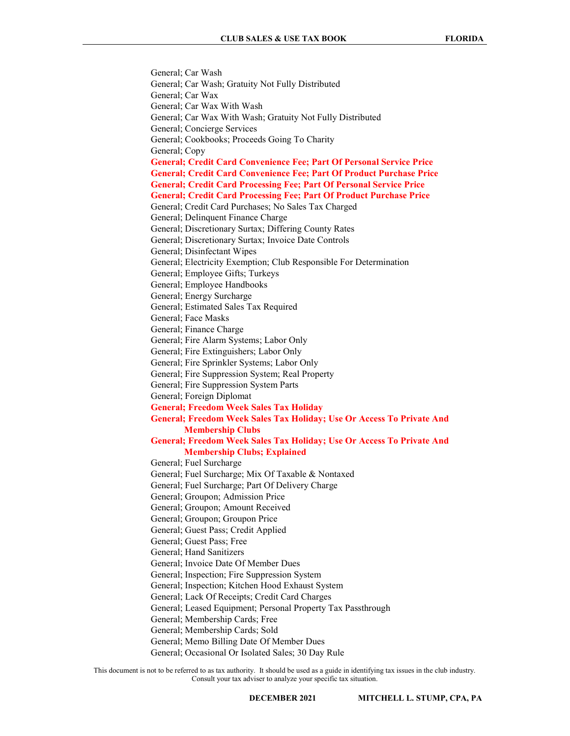General; Car Wash General; Car Wash; Gratuity Not Fully Distributed General; Car Wax General; Car Wax With Wash General; Car Wax With Wash; Gratuity Not Fully Distributed General; Concierge Services General; Cookbooks; Proceeds Going To Charity General; Copy General; Credit Card Convenience Fee; Part Of Personal Service Price General; Credit Card Convenience Fee; Part Of Product Purchase Price General; Credit Card Processing Fee; Part Of Personal Service Price General; Credit Card Processing Fee; Part Of Product Purchase Price General; Credit Card Purchases; No Sales Tax Charged General; Delinquent Finance Charge General; Discretionary Surtax; Differing County Rates General; Discretionary Surtax; Invoice Date Controls General; Disinfectant Wipes General; Electricity Exemption; Club Responsible For Determination General; Employee Gifts; Turkeys General; Employee Handbooks General; Energy Surcharge General; Estimated Sales Tax Required General; Face Masks General; Finance Charge General; Fire Alarm Systems; Labor Only General; Fire Extinguishers; Labor Only General; Fire Sprinkler Systems; Labor Only General; Fire Suppression System; Real Property General; Fire Suppression System Parts General; Foreign Diplomat General; Freedom Week Sales Tax Holiday General; Freedom Week Sales Tax Holiday; Use Or Access To Private And Membership Clubs General; Freedom Week Sales Tax Holiday; Use Or Access To Private And Membership Clubs; Explained General; Fuel Surcharge General; Fuel Surcharge; Mix Of Taxable & Nontaxed General; Fuel Surcharge; Part Of Delivery Charge General; Groupon; Admission Price General; Groupon; Amount Received General; Groupon; Groupon Price General; Guest Pass; Credit Applied General; Guest Pass; Free General; Hand Sanitizers General; Invoice Date Of Member Dues General; Inspection; Fire Suppression System General; Inspection; Kitchen Hood Exhaust System General; Lack Of Receipts; Credit Card Charges General; Leased Equipment; Personal Property Tax Passthrough General; Membership Cards; Free General; Membership Cards; Sold General; Memo Billing Date Of Member Dues General; Occasional Or Isolated Sales; 30 Day Rule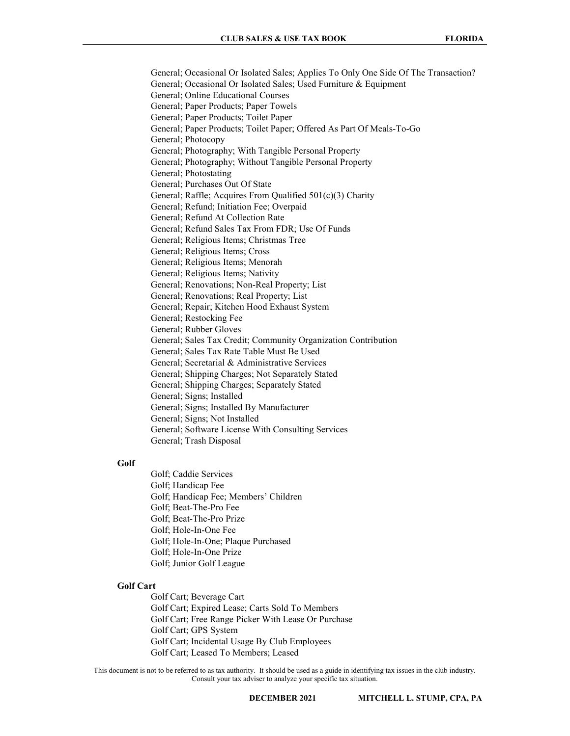General; Occasional Or Isolated Sales; Applies To Only One Side Of The Transaction? General; Occasional Or Isolated Sales; Used Furniture & Equipment General; Online Educational Courses General; Paper Products; Paper Towels General; Paper Products; Toilet Paper General; Paper Products; Toilet Paper; Offered As Part Of Meals-To-Go General; Photocopy General; Photography; With Tangible Personal Property General; Photography; Without Tangible Personal Property General; Photostating General; Purchases Out Of State General; Raffle; Acquires From Qualified 501(c)(3) Charity General; Refund; Initiation Fee; Overpaid General; Refund At Collection Rate General; Refund Sales Tax From FDR; Use Of Funds General; Religious Items; Christmas Tree General; Religious Items; Cross General; Religious Items; Menorah General; Religious Items; Nativity General; Renovations; Non-Real Property; List General; Renovations; Real Property; List General; Repair; Kitchen Hood Exhaust System General; Restocking Fee General; Rubber Gloves General; Sales Tax Credit; Community Organization Contribution General; Sales Tax Rate Table Must Be Used General; Secretarial & Administrative Services General; Shipping Charges; Not Separately Stated General; Shipping Charges; Separately Stated General; Signs; Installed General; Signs; Installed By Manufacturer General; Signs; Not Installed General; Software License With Consulting Services General; Trash Disposal

### Golf

 Golf; Caddie Services Golf; Handicap Fee Golf; Handicap Fee; Members' Children Golf; Beat-The-Pro Fee Golf; Beat-The-Pro Prize Golf; Hole-In-One Fee Golf; Hole-In-One; Plaque Purchased Golf; Hole-In-One Prize Golf; Junior Golf League

#### Golf Cart

 Golf Cart; Beverage Cart Golf Cart; Expired Lease; Carts Sold To Members Golf Cart; Free Range Picker With Lease Or Purchase Golf Cart; GPS System Golf Cart; Incidental Usage By Club Employees Golf Cart; Leased To Members; Leased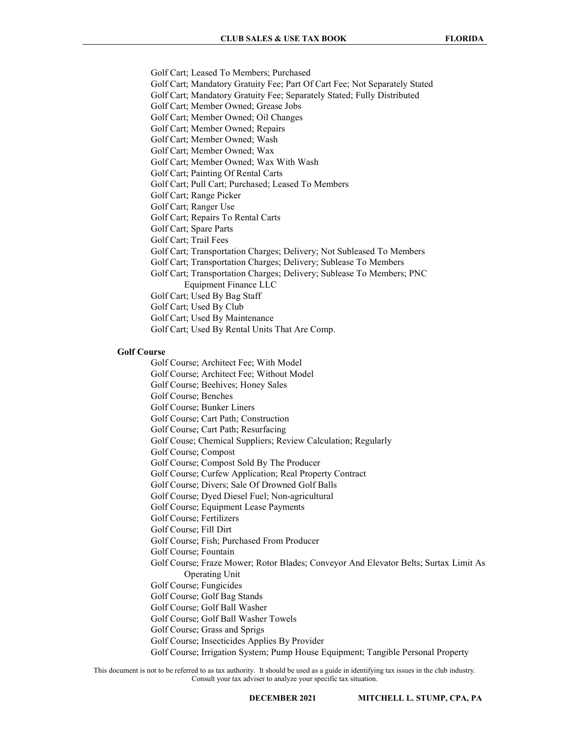Golf Cart; Leased To Members; Purchased Golf Cart; Mandatory Gratuity Fee; Part Of Cart Fee; Not Separately Stated Golf Cart; Mandatory Gratuity Fee; Separately Stated; Fully Distributed Golf Cart; Member Owned; Grease Jobs Golf Cart; Member Owned; Oil Changes Golf Cart; Member Owned; Repairs Golf Cart; Member Owned; Wash Golf Cart; Member Owned; Wax Golf Cart; Member Owned; Wax With Wash Golf Cart; Painting Of Rental Carts Golf Cart; Pull Cart; Purchased; Leased To Members Golf Cart; Range Picker Golf Cart; Ranger Use Golf Cart; Repairs To Rental Carts Golf Cart; Spare Parts Golf Cart; Trail Fees Golf Cart; Transportation Charges; Delivery; Not Subleased To Members Golf Cart; Transportation Charges; Delivery; Sublease To Members Golf Cart; Transportation Charges; Delivery; Sublease To Members; PNC Equipment Finance LLC Golf Cart; Used By Bag Staff Golf Cart; Used By Club Golf Cart; Used By Maintenance Golf Cart; Used By Rental Units That Are Comp.

# Golf Course

 Golf Course; Architect Fee; With Model Golf Course; Architect Fee; Without Model Golf Course; Beehives; Honey Sales Golf Course; Benches Golf Course; Bunker Liners Golf Course; Cart Path; Construction Golf Course; Cart Path; Resurfacing Golf Couse; Chemical Suppliers; Review Calculation; Regularly Golf Course; Compost Golf Course; Compost Sold By The Producer Golf Course; Curfew Application; Real Property Contract Golf Course; Divers; Sale Of Drowned Golf Balls Golf Course; Dyed Diesel Fuel; Non-agricultural Golf Course; Equipment Lease Payments Golf Course; Fertilizers Golf Course; Fill Dirt Golf Course; Fish; Purchased From Producer Golf Course; Fountain Golf Course; Fraze Mower; Rotor Blades; Conveyor And Elevator Belts; Surtax Limit As Operating Unit Golf Course; Fungicides Golf Course; Golf Bag Stands Golf Course; Golf Ball Washer Golf Course; Golf Ball Washer Towels Golf Course; Grass and Sprigs Golf Course; Insecticides Applies By Provider Golf Course; Irrigation System; Pump House Equipment; Tangible Personal Property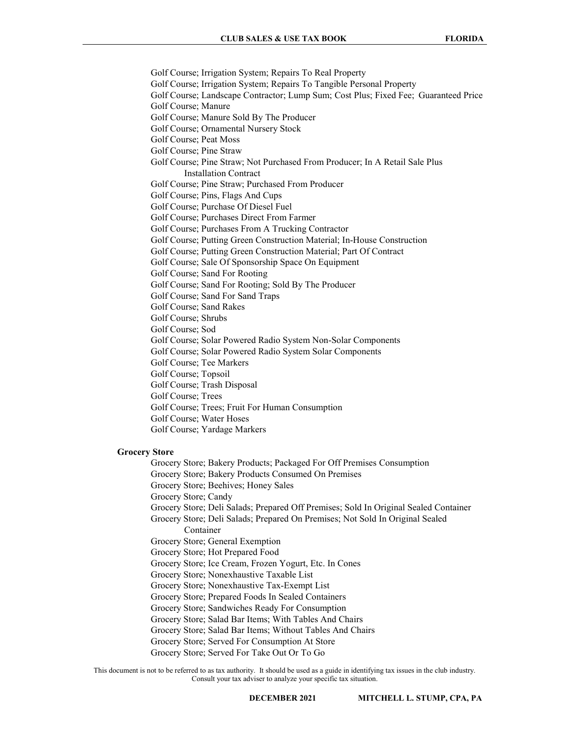Golf Course; Irrigation System; Repairs To Real Property Golf Course; Irrigation System; Repairs To Tangible Personal Property Golf Course; Landscape Contractor; Lump Sum; Cost Plus; Fixed Fee; Guaranteed Price Golf Course; Manure Golf Course; Manure Sold By The Producer Golf Course; Ornamental Nursery Stock Golf Course; Peat Moss Golf Course; Pine Straw Golf Course; Pine Straw; Not Purchased From Producer; In A Retail Sale Plus Installation Contract Golf Course; Pine Straw; Purchased From Producer Golf Course; Pins, Flags And Cups Golf Course; Purchase Of Diesel Fuel Golf Course; Purchases Direct From Farmer Golf Course; Purchases From A Trucking Contractor Golf Course; Putting Green Construction Material; In-House Construction Golf Course; Putting Green Construction Material; Part Of Contract Golf Course; Sale Of Sponsorship Space On Equipment Golf Course; Sand For Rooting Golf Course; Sand For Rooting; Sold By The Producer Golf Course; Sand For Sand Traps Golf Course; Sand Rakes Golf Course; Shrubs Golf Course; Sod Golf Course; Solar Powered Radio System Non-Solar Components Golf Course; Solar Powered Radio System Solar Components Golf Course; Tee Markers Golf Course; Topsoil Golf Course; Trash Disposal Golf Course; Trees Golf Course; Trees; Fruit For Human Consumption Golf Course; Water Hoses Golf Course; Yardage Markers

### Grocery Store

- Grocery Store; Bakery Products; Packaged For Off Premises Consumption
- Grocery Store; Bakery Products Consumed On Premises
- Grocery Store; Beehives; Honey Sales
- Grocery Store; Candy
- Grocery Store; Deli Salads; Prepared Off Premises; Sold In Original Sealed Container
- Grocery Store; Deli Salads; Prepared On Premises; Not Sold In Original Sealed Container
- Grocery Store; General Exemption
- Grocery Store; Hot Prepared Food
- Grocery Store; Ice Cream, Frozen Yogurt, Etc. In Cones
- Grocery Store; Nonexhaustive Taxable List
- Grocery Store; Nonexhaustive Tax-Exempt List
- Grocery Store; Prepared Foods In Sealed Containers
- Grocery Store; Sandwiches Ready For Consumption
- Grocery Store; Salad Bar Items; With Tables And Chairs
- Grocery Store; Salad Bar Items; Without Tables And Chairs
- Grocery Store; Served For Consumption At Store
- Grocery Store; Served For Take Out Or To Go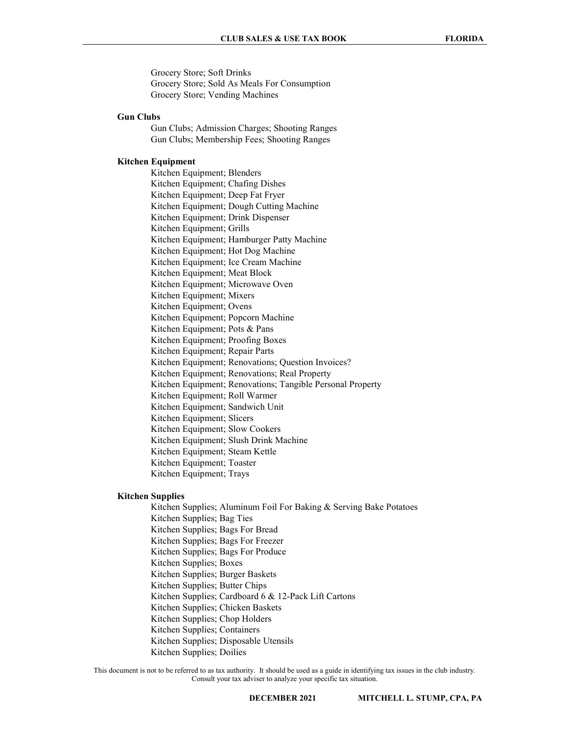Grocery Store; Soft Drinks Grocery Store; Sold As Meals For Consumption Grocery Store; Vending Machines

#### Gun Clubs

 Gun Clubs; Admission Charges; Shooting Ranges Gun Clubs; Membership Fees; Shooting Ranges

#### Kitchen Equipment

 Kitchen Equipment; Blenders Kitchen Equipment; Chafing Dishes Kitchen Equipment; Deep Fat Fryer Kitchen Equipment; Dough Cutting Machine Kitchen Equipment; Drink Dispenser Kitchen Equipment; Grills Kitchen Equipment; Hamburger Patty Machine Kitchen Equipment; Hot Dog Machine Kitchen Equipment; Ice Cream Machine Kitchen Equipment; Meat Block Kitchen Equipment; Microwave Oven Kitchen Equipment; Mixers Kitchen Equipment; Ovens Kitchen Equipment; Popcorn Machine Kitchen Equipment; Pots & Pans Kitchen Equipment; Proofing Boxes Kitchen Equipment; Repair Parts Kitchen Equipment; Renovations; Question Invoices? Kitchen Equipment; Renovations; Real Property Kitchen Equipment; Renovations; Tangible Personal Property Kitchen Equipment; Roll Warmer Kitchen Equipment; Sandwich Unit Kitchen Equipment; Slicers Kitchen Equipment; Slow Cookers Kitchen Equipment; Slush Drink Machine Kitchen Equipment; Steam Kettle Kitchen Equipment; Toaster Kitchen Equipment; Trays

# Kitchen Supplies

 Kitchen Supplies; Aluminum Foil For Baking & Serving Bake Potatoes Kitchen Supplies; Bag Ties Kitchen Supplies; Bags For Bread Kitchen Supplies; Bags For Freezer Kitchen Supplies; Bags For Produce Kitchen Supplies; Boxes Kitchen Supplies; Burger Baskets Kitchen Supplies; Butter Chips Kitchen Supplies; Cardboard 6 & 12-Pack Lift Cartons Kitchen Supplies; Chicken Baskets Kitchen Supplies; Chop Holders Kitchen Supplies; Containers Kitchen Supplies; Disposable Utensils Kitchen Supplies; Doilies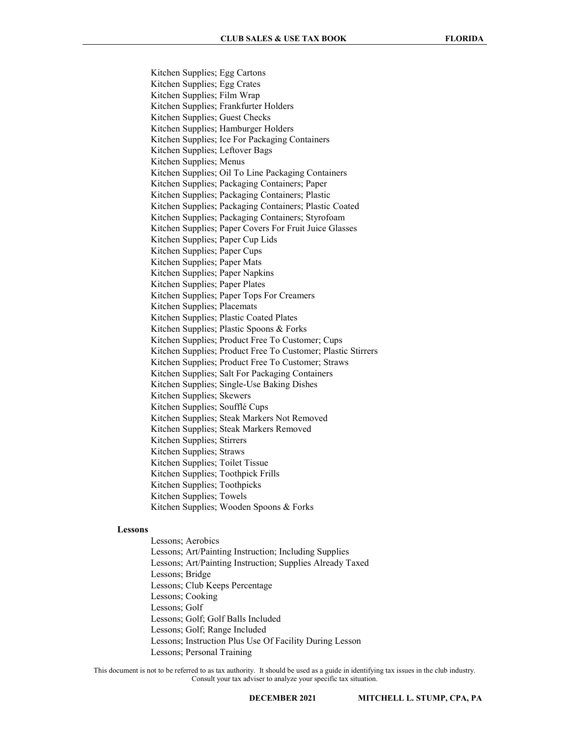Kitchen Supplies; Egg Cartons Kitchen Supplies; Egg Crates Kitchen Supplies; Film Wrap Kitchen Supplies; Frankfurter Holders Kitchen Supplies; Guest Checks Kitchen Supplies; Hamburger Holders Kitchen Supplies; Ice For Packaging Containers Kitchen Supplies; Leftover Bags Kitchen Supplies; Menus Kitchen Supplies; Oil To Line Packaging Containers Kitchen Supplies; Packaging Containers; Paper Kitchen Supplies; Packaging Containers; Plastic Kitchen Supplies; Packaging Containers; Plastic Coated Kitchen Supplies; Packaging Containers; Styrofoam Kitchen Supplies; Paper Covers For Fruit Juice Glasses Kitchen Supplies; Paper Cup Lids Kitchen Supplies; Paper Cups Kitchen Supplies; Paper Mats Kitchen Supplies; Paper Napkins Kitchen Supplies; Paper Plates Kitchen Supplies; Paper Tops For Creamers Kitchen Supplies; Placemats Kitchen Supplies; Plastic Coated Plates Kitchen Supplies; Plastic Spoons & Forks Kitchen Supplies; Product Free To Customer; Cups Kitchen Supplies; Product Free To Customer; Plastic Stirrers Kitchen Supplies; Product Free To Customer; Straws Kitchen Supplies; Salt For Packaging Containers Kitchen Supplies; Single-Use Baking Dishes Kitchen Supplies; Skewers Kitchen Supplies; Soufflé Cups Kitchen Supplies; Steak Markers Not Removed Kitchen Supplies; Steak Markers Removed Kitchen Supplies; Stirrers Kitchen Supplies; Straws Kitchen Supplies; Toilet Tissue Kitchen Supplies; Toothpick Frills Kitchen Supplies; Toothpicks Kitchen Supplies; Towels Kitchen Supplies; Wooden Spoons & Forks

#### Lessons

 Lessons; Aerobics Lessons; Art/Painting Instruction; Including Supplies Lessons; Art/Painting Instruction; Supplies Already Taxed Lessons; Bridge Lessons; Club Keeps Percentage Lessons; Cooking Lessons; Golf Lessons; Golf; Golf Balls Included Lessons; Golf; Range Included Lessons; Instruction Plus Use Of Facility During Lesson Lessons; Personal Training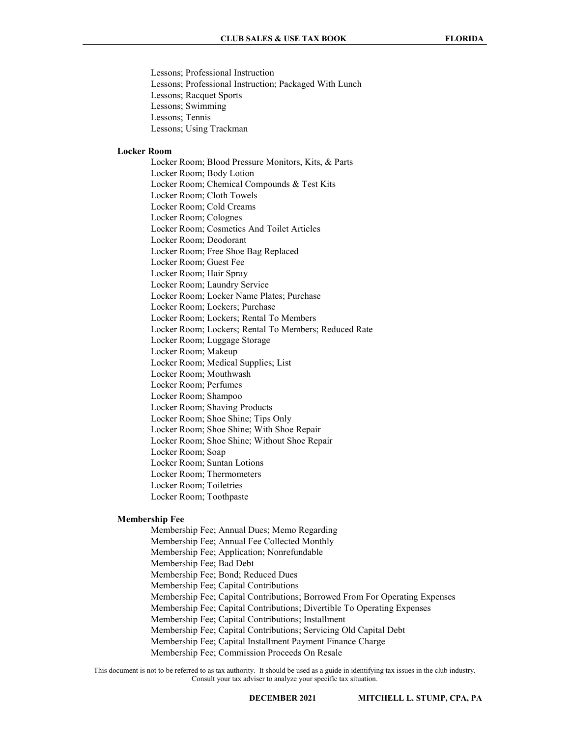Lessons; Professional Instruction Lessons; Professional Instruction; Packaged With Lunch Lessons; Racquet Sports Lessons; Swimming Lessons; Tennis Lessons; Using Trackman

# Locker Room

 Locker Room; Blood Pressure Monitors, Kits, & Parts Locker Room; Body Lotion Locker Room; Chemical Compounds & Test Kits Locker Room; Cloth Towels Locker Room; Cold Creams Locker Room; Colognes Locker Room; Cosmetics And Toilet Articles Locker Room; Deodorant Locker Room; Free Shoe Bag Replaced Locker Room; Guest Fee Locker Room; Hair Spray Locker Room; Laundry Service Locker Room; Locker Name Plates; Purchase Locker Room; Lockers; Purchase Locker Room; Lockers; Rental To Members Locker Room; Lockers; Rental To Members; Reduced Rate Locker Room; Luggage Storage Locker Room; Makeup Locker Room; Medical Supplies; List Locker Room; Mouthwash Locker Room; Perfumes Locker Room; Shampoo Locker Room; Shaving Products Locker Room; Shoe Shine; Tips Only Locker Room; Shoe Shine; With Shoe Repair Locker Room; Shoe Shine; Without Shoe Repair Locker Room; Soap Locker Room; Suntan Lotions Locker Room; Thermometers Locker Room; Toiletries Locker Room; Toothpaste

#### Membership Fee

 Membership Fee; Annual Dues; Memo Regarding Membership Fee; Annual Fee Collected Monthly Membership Fee; Application; Nonrefundable Membership Fee; Bad Debt Membership Fee; Bond; Reduced Dues Membership Fee; Capital Contributions Membership Fee; Capital Contributions; Borrowed From For Operating Expenses Membership Fee; Capital Contributions; Divertible To Operating Expenses Membership Fee; Capital Contributions; Installment Membership Fee; Capital Contributions; Servicing Old Capital Debt Membership Fee; Capital Installment Payment Finance Charge Membership Fee; Commission Proceeds On Resale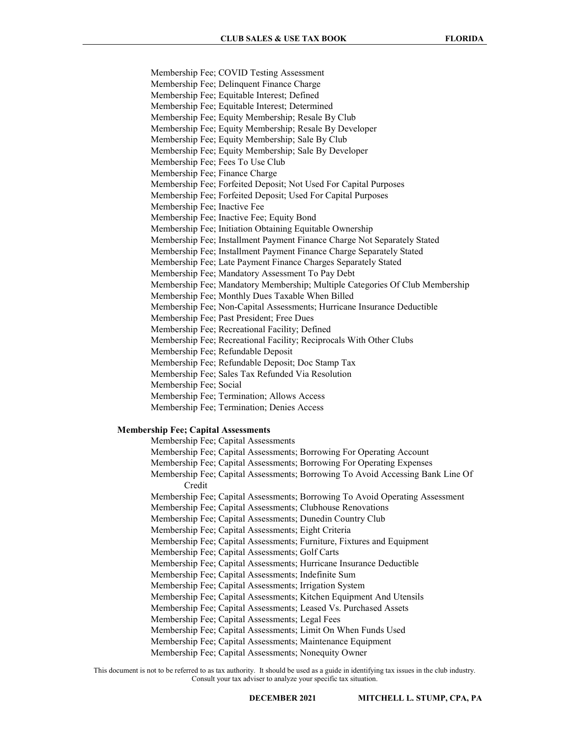Membership Fee; COVID Testing Assessment Membership Fee; Delinquent Finance Charge Membership Fee; Equitable Interest; Defined Membership Fee; Equitable Interest; Determined Membership Fee; Equity Membership; Resale By Club Membership Fee; Equity Membership; Resale By Developer Membership Fee; Equity Membership; Sale By Club Membership Fee; Equity Membership; Sale By Developer Membership Fee; Fees To Use Club Membership Fee; Finance Charge Membership Fee; Forfeited Deposit; Not Used For Capital Purposes Membership Fee; Forfeited Deposit; Used For Capital Purposes Membership Fee; Inactive Fee Membership Fee; Inactive Fee; Equity Bond Membership Fee; Initiation Obtaining Equitable Ownership Membership Fee; Installment Payment Finance Charge Not Separately Stated Membership Fee; Installment Payment Finance Charge Separately Stated Membership Fee; Late Payment Finance Charges Separately Stated Membership Fee; Mandatory Assessment To Pay Debt Membership Fee; Mandatory Membership; Multiple Categories Of Club Membership Membership Fee; Monthly Dues Taxable When Billed Membership Fee; Non-Capital Assessments; Hurricane Insurance Deductible Membership Fee; Past President; Free Dues Membership Fee; Recreational Facility; Defined Membership Fee; Recreational Facility; Reciprocals With Other Clubs Membership Fee; Refundable Deposit Membership Fee; Refundable Deposit; Doc Stamp Tax Membership Fee; Sales Tax Refunded Via Resolution Membership Fee; Social Membership Fee; Termination; Allows Access Membership Fee; Termination; Denies Access

# Membership Fee; Capital Assessments

- Membership Fee; Capital Assessments Membership Fee; Capital Assessments; Borrowing For Operating Account
- Membership Fee; Capital Assessments; Borrowing For Operating Expenses
- Membership Fee; Capital Assessments; Borrowing To Avoid Accessing Bank Line Of Credit
- Membership Fee; Capital Assessments; Borrowing To Avoid Operating Assessment
- Membership Fee; Capital Assessments; Clubhouse Renovations
- Membership Fee; Capital Assessments; Dunedin Country Club
- Membership Fee; Capital Assessments; Eight Criteria
- Membership Fee; Capital Assessments; Furniture, Fixtures and Equipment
- Membership Fee; Capital Assessments; Golf Carts
- Membership Fee; Capital Assessments; Hurricane Insurance Deductible
- Membership Fee; Capital Assessments; Indefinite Sum
- Membership Fee; Capital Assessments; Irrigation System
- Membership Fee; Capital Assessments; Kitchen Equipment And Utensils
- Membership Fee; Capital Assessments; Leased Vs. Purchased Assets
- Membership Fee; Capital Assessments; Legal Fees
- Membership Fee; Capital Assessments; Limit On When Funds Used
- Membership Fee; Capital Assessments; Maintenance Equipment
- Membership Fee; Capital Assessments; Nonequity Owner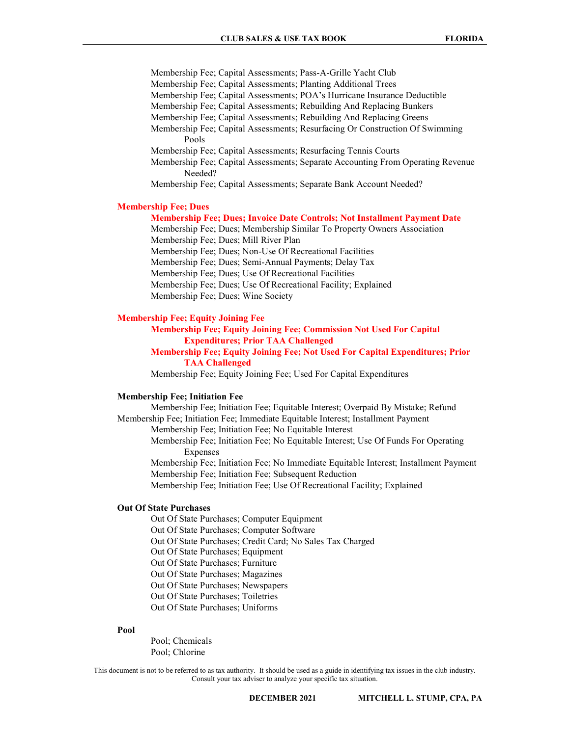Membership Fee; Capital Assessments; Pass-A-Grille Yacht Club Membership Fee; Capital Assessments; Planting Additional Trees Membership Fee; Capital Assessments; POA's Hurricane Insurance Deductible Membership Fee; Capital Assessments; Rebuilding And Replacing Bunkers Membership Fee; Capital Assessments; Rebuilding And Replacing Greens Membership Fee; Capital Assessments; Resurfacing Or Construction Of Swimming Pools Membership Fee; Capital Assessments; Resurfacing Tennis Courts

 Membership Fee; Capital Assessments; Separate Accounting From Operating Revenue Needed?

Membership Fee; Capital Assessments; Separate Bank Account Needed?

# Membership Fee; Dues

# Membership Fee; Dues; Invoice Date Controls; Not Installment Payment Date

 Membership Fee; Dues; Membership Similar To Property Owners Association Membership Fee; Dues; Mill River Plan

Membership Fee; Dues; Non-Use Of Recreational Facilities

Membership Fee; Dues; Semi-Annual Payments; Delay Tax

Membership Fee; Dues; Use Of Recreational Facilities

Membership Fee; Dues; Use Of Recreational Facility; Explained

Membership Fee; Dues; Wine Society

### Membership Fee; Equity Joining Fee

 Membership Fee; Equity Joining Fee; Commission Not Used For Capital Expenditures; Prior TAA Challenged

# Membership Fee; Equity Joining Fee; Not Used For Capital Expenditures; Prior TAA Challenged

Membership Fee; Equity Joining Fee; Used For Capital Expenditures

#### Membership Fee; Initiation Fee

 Membership Fee; Initiation Fee; Equitable Interest; Overpaid By Mistake; Refund Membership Fee; Initiation Fee; Immediate Equitable Interest; Installment Payment Membership Fee; Initiation Fee; No Equitable Interest Membership Fee; Initiation Fee; No Equitable Interest; Use Of Funds For Operating Expenses Membership Fee; Initiation Fee; No Immediate Equitable Interest; Installment Payment Membership Fee; Initiation Fee; Subsequent Reduction Membership Fee; Initiation Fee; Use Of Recreational Facility; Explained

# Out Of State Purchases

 Out Of State Purchases; Computer Equipment Out Of State Purchases; Computer Software Out Of State Purchases; Credit Card; No Sales Tax Charged Out Of State Purchases; Equipment Out Of State Purchases; Furniture Out Of State Purchases; Magazines Out Of State Purchases; Newspapers Out Of State Purchases; Toiletries Out Of State Purchases; Uniforms

#### Pool

 Pool; Chemicals Pool; Chlorine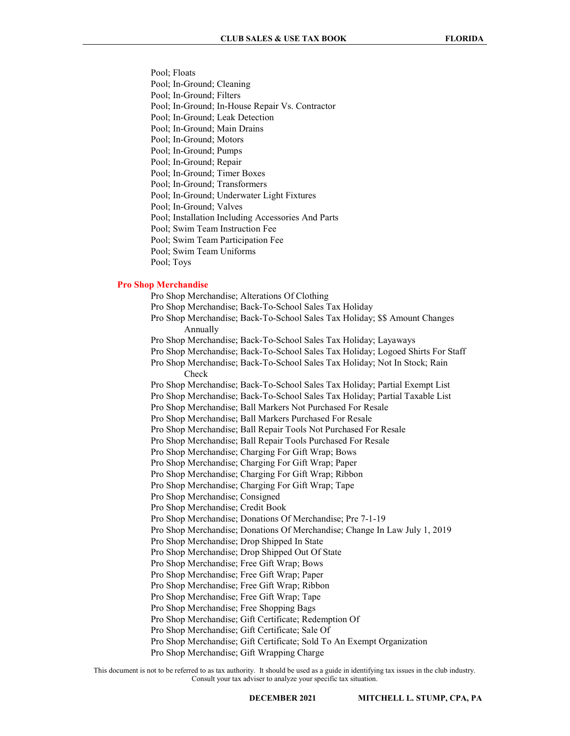Pool; Floats

Pool; In-Ground; Cleaning

Pool; In-Ground; Filters

Pool; In-Ground; In-House Repair Vs. Contractor

Pool; In-Ground; Leak Detection

Pool; In-Ground; Main Drains

Pool; In-Ground; Motors

Pool; In-Ground; Pumps

Pool; In-Ground; Repair

Pool; In-Ground; Timer Boxes

Pool; In-Ground; Transformers

Pool; In-Ground; Underwater Light Fixtures

Pool; In-Ground; Valves

Pool; Installation Including Accessories And Parts

Pool; Swim Team Instruction Fee

Pool; Swim Team Participation Fee

Pool; Swim Team Uniforms

Pool; Toys

#### Pro Shop Merchandise

 Pro Shop Merchandise; Alterations Of Clothing Pro Shop Merchandise; Back-To-School Sales Tax Holiday Pro Shop Merchandise; Back-To-School Sales Tax Holiday; \$\$ Amount Changes Annually Pro Shop Merchandise; Back-To-School Sales Tax Holiday; Layaways Pro Shop Merchandise; Back-To-School Sales Tax Holiday; Logoed Shirts For Staff Pro Shop Merchandise; Back-To-School Sales Tax Holiday; Not In Stock; Rain Check Pro Shop Merchandise; Back-To-School Sales Tax Holiday; Partial Exempt List Pro Shop Merchandise; Back-To-School Sales Tax Holiday; Partial Taxable List Pro Shop Merchandise; Ball Markers Not Purchased For Resale Pro Shop Merchandise; Ball Markers Purchased For Resale Pro Shop Merchandise; Ball Repair Tools Not Purchased For Resale Pro Shop Merchandise; Ball Repair Tools Purchased For Resale Pro Shop Merchandise; Charging For Gift Wrap; Bows Pro Shop Merchandise; Charging For Gift Wrap; Paper Pro Shop Merchandise; Charging For Gift Wrap; Ribbon Pro Shop Merchandise; Charging For Gift Wrap; Tape Pro Shop Merchandise; Consigned Pro Shop Merchandise; Credit Book Pro Shop Merchandise; Donations Of Merchandise; Pre 7-1-19 Pro Shop Merchandise; Donations Of Merchandise; Change In Law July 1, 2019 Pro Shop Merchandise; Drop Shipped In State Pro Shop Merchandise; Drop Shipped Out Of State Pro Shop Merchandise; Free Gift Wrap; Bows Pro Shop Merchandise; Free Gift Wrap; Paper Pro Shop Merchandise; Free Gift Wrap; Ribbon Pro Shop Merchandise; Free Gift Wrap; Tape Pro Shop Merchandise; Free Shopping Bags Pro Shop Merchandise; Gift Certificate; Redemption Of Pro Shop Merchandise; Gift Certificate; Sale Of Pro Shop Merchandise; Gift Certificate; Sold To An Exempt Organization

Pro Shop Merchandise; Gift Wrapping Charge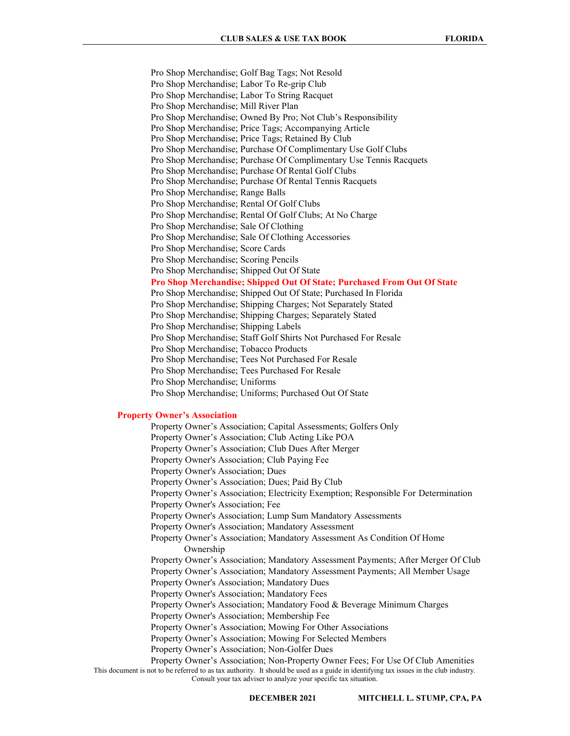Pro Shop Merchandise; Golf Bag Tags; Not Resold Pro Shop Merchandise; Labor To Re-grip Club Pro Shop Merchandise; Labor To String Racquet Pro Shop Merchandise; Mill River Plan Pro Shop Merchandise; Owned By Pro; Not Club's Responsibility Pro Shop Merchandise; Price Tags; Accompanying Article Pro Shop Merchandise; Price Tags; Retained By Club Pro Shop Merchandise; Purchase Of Complimentary Use Golf Clubs Pro Shop Merchandise; Purchase Of Complimentary Use Tennis Racquets Pro Shop Merchandise; Purchase Of Rental Golf Clubs Pro Shop Merchandise; Purchase Of Rental Tennis Racquets Pro Shop Merchandise; Range Balls Pro Shop Merchandise; Rental Of Golf Clubs Pro Shop Merchandise; Rental Of Golf Clubs; At No Charge Pro Shop Merchandise; Sale Of Clothing Pro Shop Merchandise; Sale Of Clothing Accessories Pro Shop Merchandise; Score Cards Pro Shop Merchandise; Scoring Pencils Pro Shop Merchandise; Shipped Out Of State Pro Shop Merchandise; Shipped Out Of State; Purchased From Out Of State Pro Shop Merchandise; Shipped Out Of State; Purchased In Florida Pro Shop Merchandise; Shipping Charges; Not Separately Stated Pro Shop Merchandise; Shipping Charges; Separately Stated Pro Shop Merchandise; Shipping Labels Pro Shop Merchandise; Staff Golf Shirts Not Purchased For Resale Pro Shop Merchandise; Tobacco Products Pro Shop Merchandise; Tees Not Purchased For Resale Pro Shop Merchandise; Tees Purchased For Resale Pro Shop Merchandise; Uniforms Pro Shop Merchandise; Uniforms; Purchased Out Of State

# Property Owner's Association

This document is not to be referred to as tax authority. It should be used as a guide in identifying tax issues in the club industry. Consult your tax adviser to analyze your specific tax situation. Property Owner's Association; Capital Assessments; Golfers Only Property Owner's Association; Club Acting Like POA Property Owner's Association; Club Dues After Merger Property Owner's Association; Club Paying Fee Property Owner's Association; Dues Property Owner's Association; Dues; Paid By Club Property Owner's Association; Electricity Exemption; Responsible For Determination Property Owner's Association; Fee Property Owner's Association; Lump Sum Mandatory Assessments Property Owner's Association; Mandatory Assessment Property Owner's Association; Mandatory Assessment As Condition Of Home Ownership Property Owner's Association; Mandatory Assessment Payments; After Merger Of Club Property Owner's Association; Mandatory Assessment Payments; All Member Usage Property Owner's Association; Mandatory Dues Property Owner's Association; Mandatory Fees Property Owner's Association; Mandatory Food & Beverage Minimum Charges Property Owner's Association; Membership Fee Property Owner's Association; Mowing For Other Associations Property Owner's Association; Mowing For Selected Members Property Owner's Association; Non-Golfer Dues Property Owner's Association; Non-Property Owner Fees; For Use Of Club Amenities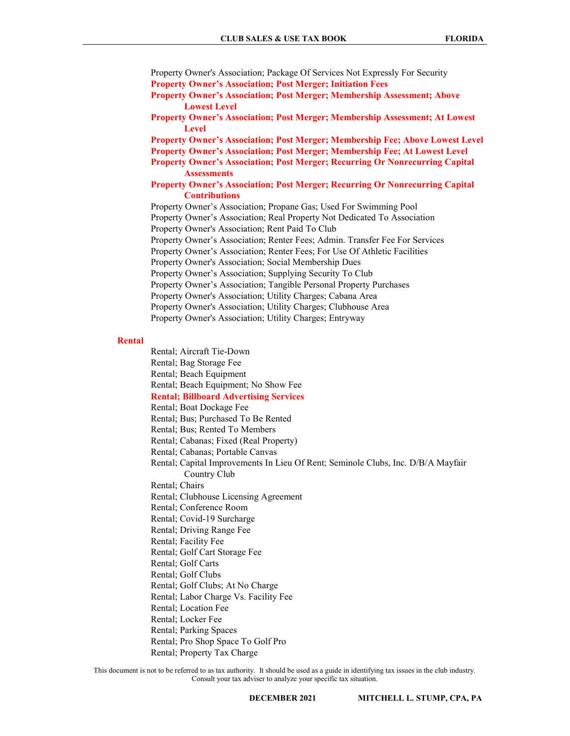Property Owner's Association; Package Of Services Not Expressly For Security Property Owner's Association; Post Merger; Initiation Fees

- Property Owner's Association; Post Merger; Membership Assessment; Above Lowest Level
- Property Owner's Association; Post Merger; Membership Assessment; At Lowest Level

Property Owner's Association; Post Merger; Membership Fee; Above Lowest Level

- Property Owner's Association; Post Merger; Membership Fee; At Lowest Level
- Property Owner's Association; Post Merger; Recurring Or Nonrecurring Capital **Assessments**

# Property Owner's Association; Post Merger; Recurring Or Nonrecurring Capital **Contributions**

 Property Owner's Association; Propane Gas; Used For Swimming Pool Property Owner's Association; Real Property Not Dedicated To Association Property Owner's Association; Rent Paid To Club Property Owner's Association; Renter Fees; Admin. Transfer Fee For Services Property Owner's Association; Renter Fees; For Use Of Athletic Facilities Property Owner's Association; Social Membership Dues Property Owner's Association; Supplying Security To Club Property Owner's Association; Tangible Personal Property Purchases Property Owner's Association; Utility Charges; Cabana Area Property Owner's Association; Utility Charges; Clubhouse Area Property Owner's Association; Utility Charges; Entryway

#### Rental

 Rental; Aircraft Tie-Down Rental; Bag Storage Fee Rental; Beach Equipment Rental; Beach Equipment; No Show Fee Rental; Billboard Advertising Services Rental; Boat Dockage Fee Rental; Bus; Purchased To Be Rented Rental; Bus; Rented To Members Rental; Cabanas; Fixed (Real Property) Rental; Cabanas; Portable Canvas Rental; Capital Improvements In Lieu Of Rent; Seminole Clubs, Inc. D/B/A Mayfair Country Club Rental; Chairs Rental; Clubhouse Licensing Agreement Rental; Conference Room Rental; Covid-19 Surcharge Rental; Driving Range Fee Rental; Facility Fee Rental; Golf Cart Storage Fee Rental; Golf Carts Rental; Golf Clubs Rental; Golf Clubs; At No Charge Rental; Labor Charge Vs. Facility Fee Rental; Location Fee Rental; Locker Fee Rental; Parking Spaces Rental; Pro Shop Space To Golf Pro Rental; Property Tax Charge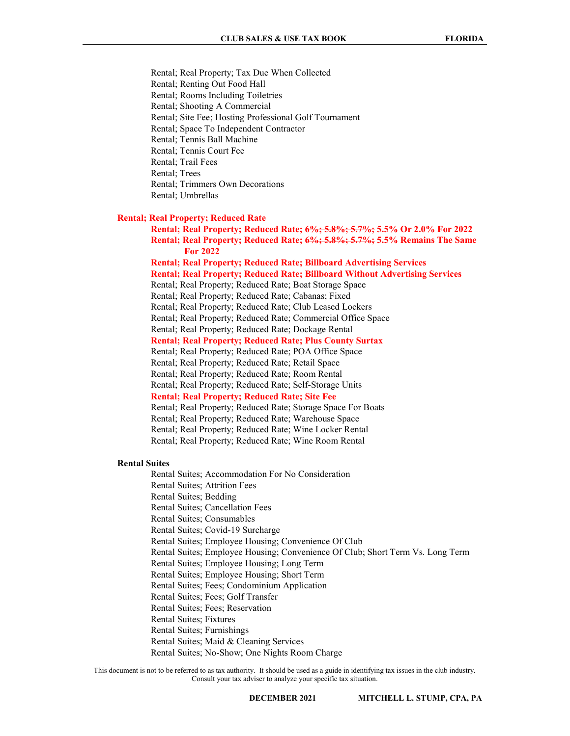Rental; Real Property; Tax Due When Collected Rental; Renting Out Food Hall Rental; Rooms Including Toiletries Rental; Shooting A Commercial Rental; Site Fee; Hosting Professional Golf Tournament Rental; Space To Independent Contractor Rental; Tennis Ball Machine Rental; Tennis Court Fee Rental; Trail Fees Rental; Trees Rental; Trimmers Own Decorations

# Rental; Umbrellas

#### Rental; Real Property; Reduced Rate

 Rental; Real Property; Reduced Rate; 6%; 5.8%; 5.7%; 5.5% Or 2.0% For 2022 Rental; Real Property; Reduced Rate; 6%; 5.8%; 5.7%; 5.5% Remains The Same For 2022

Rental; Real Property; Reduced Rate; Billboard Advertising Services

Rental; Real Property; Reduced Rate; Billboard Without Advertising Services

Rental; Real Property; Reduced Rate; Boat Storage Space

Rental; Real Property; Reduced Rate; Cabanas; Fixed

Rental; Real Property; Reduced Rate; Club Leased Lockers

Rental; Real Property; Reduced Rate; Commercial Office Space

Rental; Real Property; Reduced Rate; Dockage Rental

Rental; Real Property; Reduced Rate; Plus County Surtax

Rental; Real Property; Reduced Rate; POA Office Space

Rental; Real Property; Reduced Rate; Retail Space

Rental; Real Property; Reduced Rate; Room Rental

Rental; Real Property; Reduced Rate; Self-Storage Units

Rental; Real Property; Reduced Rate; Site Fee

Rental; Real Property; Reduced Rate; Storage Space For Boats

Rental; Real Property; Reduced Rate; Warehouse Space

Rental; Real Property; Reduced Rate; Wine Locker Rental

Rental; Real Property; Reduced Rate; Wine Room Rental

#### Rental Suites

Rental Suites; Accommodation For No Consideration

Rental Suites; Attrition Fees

Rental Suites; Bedding

Rental Suites; Cancellation Fees

Rental Suites; Consumables

Rental Suites; Covid-19 Surcharge

Rental Suites; Employee Housing; Convenience Of Club

Rental Suites; Employee Housing; Convenience Of Club; Short Term Vs. Long Term

Rental Suites; Employee Housing; Long Term

Rental Suites; Employee Housing; Short Term

Rental Suites; Fees; Condominium Application

Rental Suites; Fees; Golf Transfer

Rental Suites; Fees; Reservation

Rental Suites; Fixtures

Rental Suites; Furnishings

Rental Suites; Maid & Cleaning Services

Rental Suites; No-Show; One Nights Room Charge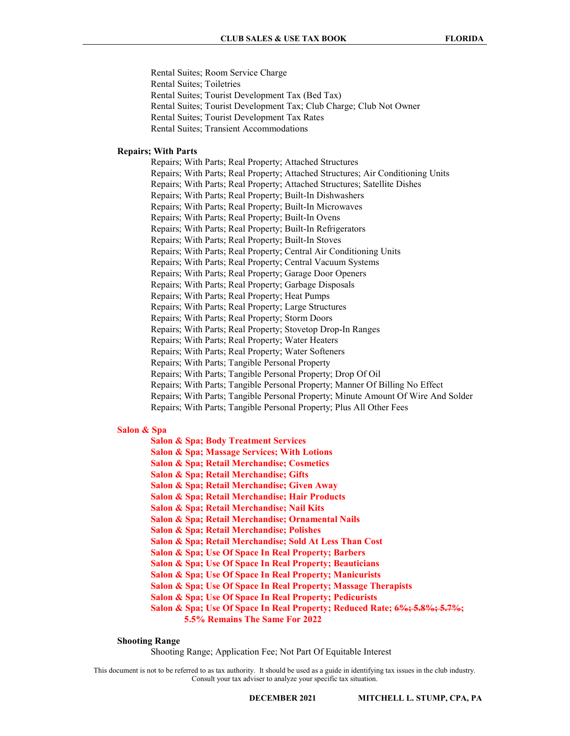Rental Suites; Room Service Charge Rental Suites; Toiletries Rental Suites; Tourist Development Tax (Bed Tax) Rental Suites; Tourist Development Tax; Club Charge; Club Not Owner Rental Suites; Tourist Development Tax Rates Rental Suites; Transient Accommodations

# Repairs; With Parts

 Repairs; With Parts; Real Property; Attached Structures Repairs; With Parts; Real Property; Attached Structures; Air Conditioning Units Repairs; With Parts; Real Property; Attached Structures; Satellite Dishes Repairs; With Parts; Real Property; Built-In Dishwashers Repairs; With Parts; Real Property; Built-In Microwaves Repairs; With Parts; Real Property; Built-In Ovens Repairs; With Parts; Real Property; Built-In Refrigerators Repairs; With Parts; Real Property; Built-In Stoves Repairs; With Parts; Real Property; Central Air Conditioning Units Repairs; With Parts; Real Property; Central Vacuum Systems Repairs; With Parts; Real Property; Garage Door Openers Repairs; With Parts; Real Property; Garbage Disposals Repairs; With Parts; Real Property; Heat Pumps Repairs; With Parts; Real Property; Large Structures Repairs; With Parts; Real Property; Storm Doors Repairs; With Parts; Real Property; Stovetop Drop-In Ranges Repairs; With Parts; Real Property; Water Heaters Repairs; With Parts; Real Property; Water Softeners Repairs; With Parts; Tangible Personal Property Repairs; With Parts; Tangible Personal Property; Drop Of Oil Repairs; With Parts; Tangible Personal Property; Manner Of Billing No Effect Repairs; With Parts; Tangible Personal Property; Minute Amount Of Wire And Solder Repairs; With Parts; Tangible Personal Property; Plus All Other Fees

# Salon & Spa

Salon & Spa; Body Treatment Services

- Salon & Spa; Massage Services; With Lotions
- Salon & Spa; Retail Merchandise; Cosmetics
- Salon & Spa; Retail Merchandise; Gifts
- Salon & Spa; Retail Merchandise; Given Away
- Salon & Spa; Retail Merchandise; Hair Products
- Salon & Spa; Retail Merchandise; Nail Kits
- Salon & Spa; Retail Merchandise; Ornamental Nails
- Salon & Spa; Retail Merchandise; Polishes
- Salon & Spa; Retail Merchandise; Sold At Less Than Cost
- Salon & Spa; Use Of Space In Real Property; Barbers
- Salon & Spa; Use Of Space In Real Property; Beauticians
- Salon & Spa; Use Of Space In Real Property; Manicurists
- Salon & Spa; Use Of Space In Real Property; Massage Therapists
- Salon & Spa; Use Of Space In Real Property; Pedicurists
- Salon & Spa; Use Of Space In Real Property; Reduced Rate; 6%; 5.8%; 5.7%;
	- 5.5% Remains The Same For 2022

#### Shooting Range

Shooting Range; Application Fee; Not Part Of Equitable Interest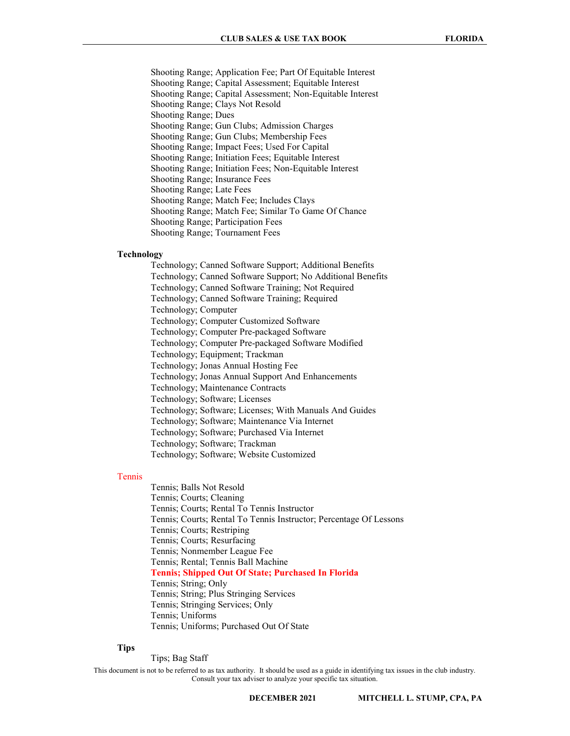Shooting Range; Application Fee; Part Of Equitable Interest Shooting Range; Capital Assessment; Equitable Interest Shooting Range; Capital Assessment; Non-Equitable Interest Shooting Range; Clays Not Resold Shooting Range; Dues Shooting Range; Gun Clubs; Admission Charges Shooting Range; Gun Clubs; Membership Fees Shooting Range; Impact Fees; Used For Capital Shooting Range; Initiation Fees; Equitable Interest Shooting Range; Initiation Fees; Non-Equitable Interest Shooting Range; Insurance Fees Shooting Range; Late Fees Shooting Range; Match Fee; Includes Clays Shooting Range; Match Fee; Similar To Game Of Chance Shooting Range; Participation Fees Shooting Range; Tournament Fees

# Technology

 Technology; Canned Software Support; Additional Benefits Technology; Canned Software Support; No Additional Benefits Technology; Canned Software Training; Not Required Technology; Canned Software Training; Required Technology; Computer Technology; Computer Customized Software Technology; Computer Pre-packaged Software Technology; Computer Pre-packaged Software Modified Technology; Equipment; Trackman Technology; Jonas Annual Hosting Fee Technology; Jonas Annual Support And Enhancements Technology; Maintenance Contracts Technology; Software; Licenses Technology; Software; Licenses; With Manuals And Guides Technology; Software; Maintenance Via Internet Technology; Software; Purchased Via Internet Technology; Software; Trackman Technology; Software; Website Customized

### Tennis

 Tennis; Balls Not Resold Tennis; Courts; Cleaning Tennis; Courts; Rental To Tennis Instructor Tennis; Courts; Rental To Tennis Instructor; Percentage Of Lessons Tennis; Courts; Restriping Tennis; Courts; Resurfacing Tennis; Nonmember League Fee Tennis; Rental; Tennis Ball Machine Tennis; Shipped Out Of State; Purchased In Florida Tennis; String; Only Tennis; String; Plus Stringing Services Tennis; Stringing Services; Only Tennis; Uniforms Tennis; Uniforms; Purchased Out Of State

# Tips

Tips; Bag Staff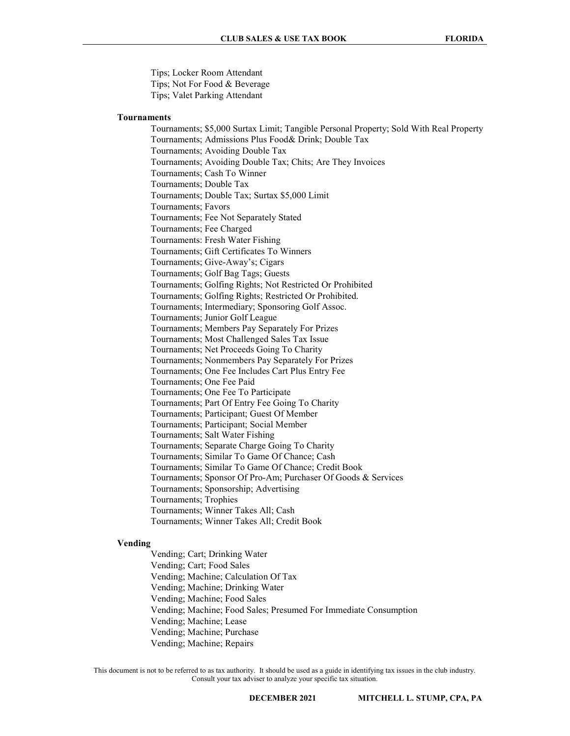Tips; Locker Room Attendant

Tips; Not For Food & Beverage

Tips; Valet Parking Attendant

# Tournaments

 Tournaments; \$5,000 Surtax Limit; Tangible Personal Property; Sold With Real Property Tournaments; Admissions Plus Food& Drink; Double Tax Tournaments; Avoiding Double Tax Tournaments; Avoiding Double Tax; Chits; Are They Invoices Tournaments; Cash To Winner Tournaments; Double Tax Tournaments; Double Tax; Surtax \$5,000 Limit Tournaments; Favors Tournaments; Fee Not Separately Stated Tournaments; Fee Charged Tournaments: Fresh Water Fishing Tournaments; Gift Certificates To Winners Tournaments; Give-Away's; Cigars Tournaments; Golf Bag Tags; Guests Tournaments; Golfing Rights; Not Restricted Or Prohibited Tournaments; Golfing Rights; Restricted Or Prohibited. Tournaments; Intermediary; Sponsoring Golf Assoc. Tournaments; Junior Golf League Tournaments; Members Pay Separately For Prizes Tournaments; Most Challenged Sales Tax Issue Tournaments; Net Proceeds Going To Charity Tournaments; Nonmembers Pay Separately For Prizes Tournaments; One Fee Includes Cart Plus Entry Fee Tournaments; One Fee Paid Tournaments; One Fee To Participate Tournaments; Part Of Entry Fee Going To Charity Tournaments; Participant; Guest Of Member Tournaments; Participant; Social Member Tournaments; Salt Water Fishing Tournaments; Separate Charge Going To Charity Tournaments; Similar To Game Of Chance; Cash Tournaments; Similar To Game Of Chance; Credit Book Tournaments; Sponsor Of Pro-Am; Purchaser Of Goods & Services Tournaments; Sponsorship; Advertising Tournaments; Trophies Tournaments; Winner Takes All; Cash Tournaments; Winner Takes All; Credit Book

### Vending

 Vending; Cart; Drinking Water Vending; Cart; Food Sales Vending; Machine; Calculation Of Tax Vending; Machine; Drinking Water Vending; Machine; Food Sales Vending; Machine; Food Sales; Presumed For Immediate Consumption Vending; Machine; Lease Vending; Machine; Purchase Vending; Machine; Repairs